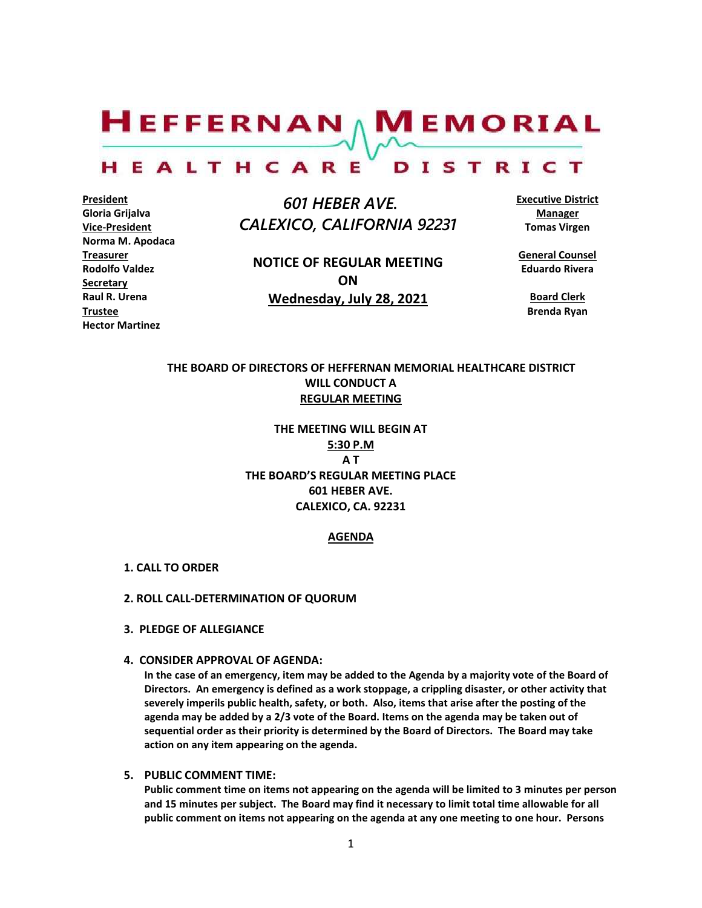$H$ EFFERNAN  $\wedge$  M EMORIAL

#### HEALTHCARE DISTRICT

**President Gloria Grijalva Vice-President Norma M. Apodaca Treasurer Rodolfo Valdez Secretary Raul R. Urena Trustee Hector Martinez**

 *601 HEBER AVE. CALEXICO, CALIFORNIA 92231*

**NOTICE OF REGULAR MEETING ON Wednesday, July 28, 2021**

**Executive District Manager Tomas Virgen**

**General Counsel Eduardo Rivera**

**Board Clerk Brenda Ryan**

# **THE BOARD OF DIRECTORS OF HEFFERNAN MEMORIAL HEALTHCARE DISTRICT WILL CONDUCT A REGULAR MEETING**

**THE MEETING WILL BEGIN AT 5:30 P.M A T THE BOARD'S REGULAR MEETING PLACE 601 HEBER AVE. CALEXICO, CA. 92231**

### **AGENDA**

- **1. CALL TO ORDER**
- **2. ROLL CALL-DETERMINATION OF QUORUM**
- **3. PLEDGE OF ALLEGIANCE**
- **4. CONSIDER APPROVAL OF AGENDA:**

**In the case of an emergency, item may be added to the Agenda by a majority vote of the Board of Directors. An emergency is defined as a work stoppage, a crippling disaster, or other activity that severely imperils public health, safety, or both. Also, items that arise after the posting of the agenda may be added by a 2/3 vote of the Board. Items on the agenda may be taken out of sequential order as their priority is determined by the Board of Directors. The Board may take action on any item appearing on the agenda.**

**5. PUBLIC COMMENT TIME:**

**Public comment time on items not appearing on the agenda will be limited to 3 minutes per person and 15 minutes per subject. The Board may find it necessary to limit total time allowable for all public comment on items not appearing on the agenda at any one meeting to one hour. Persons**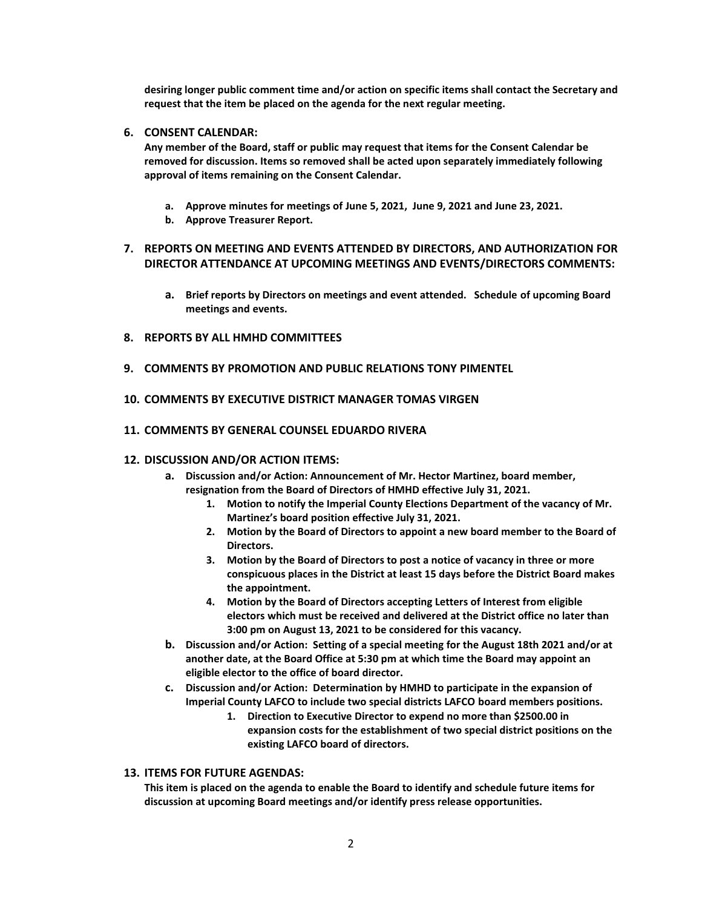**desiring longer public comment time and/or action on specific items shall contact the Secretary and request that the item be placed on the agenda for the next regular meeting.**

#### **6. CONSENT CALENDAR:**

**Any member of the Board, staff or public may request that items for the Consent Calendar be removed for discussion. Items so removed shall be acted upon separately immediately following approval of items remaining on the Consent Calendar.**

- **a. Approve minutes for meetings of June 5, 2021, June 9, 2021 and June 23, 2021.**
- **b. Approve Treasurer Report.**

# **7. REPORTS ON MEETING AND EVENTS ATTENDED BY DIRECTORS, AND AUTHORIZATION FOR DIRECTOR ATTENDANCE AT UPCOMING MEETINGS AND EVENTS/DIRECTORS COMMENTS:**

- **a. Brief reports by Directors on meetings and event attended. Schedule of upcoming Board meetings and events.**
- **8. REPORTS BY ALL HMHD COMMITTEES**
- **9. COMMENTS BY PROMOTION AND PUBLIC RELATIONS TONY PIMENTEL**
- **10. COMMENTS BY EXECUTIVE DISTRICT MANAGER TOMAS VIRGEN**
- **11. COMMENTS BY GENERAL COUNSEL EDUARDO RIVERA**

#### **12. DISCUSSION AND/OR ACTION ITEMS:**

- **a. Discussion and/or Action: Announcement of Mr. Hector Martinez, board member, resignation from the Board of Directors of HMHD effective July 31, 2021.**
	- **1. Motion to notify the Imperial County Elections Department of the vacancy of Mr. Martinez's board position effective July 31, 2021.**
	- **2. Motion by the Board of Directors to appoint a new board member to the Board of Directors.**
	- **3. Motion by the Board of Directors to post a notice of vacancy in three or more conspicuous places in the District at least 15 days before the District Board makes the appointment.**
	- **4. Motion by the Board of Directors accepting Letters of Interest from eligible electors which must be received and delivered at the District office no later than 3:00 pm on August 13, 2021 to be considered for this vacancy.**
- **b. Discussion and/or Action: Setting of a special meeting for the August 18th 2021 and/or at another date, at the Board Office at 5:30 pm at which time the Board may appoint an eligible elector to the office of board director.**
- **c. Discussion and/or Action: Determination by HMHD to participate in the expansion of Imperial County LAFCO to include two special districts LAFCO board members positions.** 
	- **1. Direction to Executive Director to expend no more than \$2500.00 in expansion costs for the establishment of two special district positions on the existing LAFCO board of directors.**

#### **13. ITEMS FOR FUTURE AGENDAS:**

**This item is placed on the agenda to enable the Board to identify and schedule future items for discussion at upcoming Board meetings and/or identify press release opportunities.**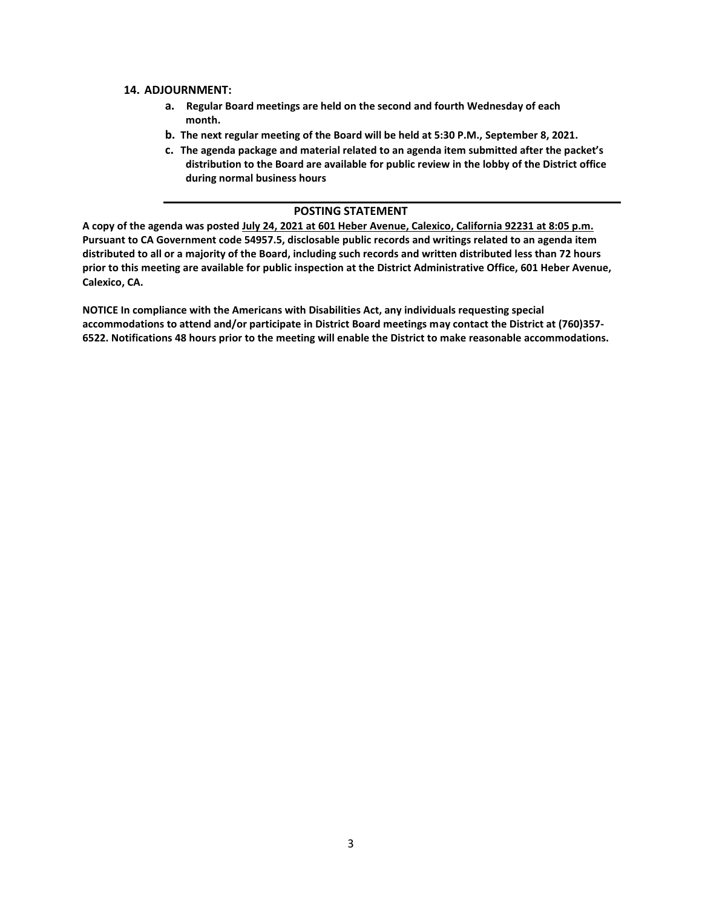#### **14. ADJOURNMENT:**

- **a. Regular Board meetings are held on the second and fourth Wednesday of each month.**
- **b. The next regular meeting of the Board will be held at 5:30 P.M., September 8, 2021.**
- **c. The agenda package and material related to an agenda item submitted after the packet's distribution to the Board are available for public review in the lobby of the District office during normal business hours**

### **POSTING STATEMENT**

**A copy of the agenda was posted July 24, 2021 at 601 Heber Avenue, Calexico, California 92231 at 8:05 p.m. Pursuant to CA Government code 54957.5, disclosable public records and writings related to an agenda item distributed to all or a majority of the Board, including such records and written distributed less than 72 hours prior to this meeting are available for public inspection at the District Administrative Office, 601 Heber Avenue, Calexico, CA.**

**NOTICE In compliance with the Americans with Disabilities Act, any individuals requesting special accommodations to attend and/or participate in District Board meetings may contact the District at (760)357- 6522. Notifications 48 hours prior to the meeting will enable the District to make reasonable accommodations.**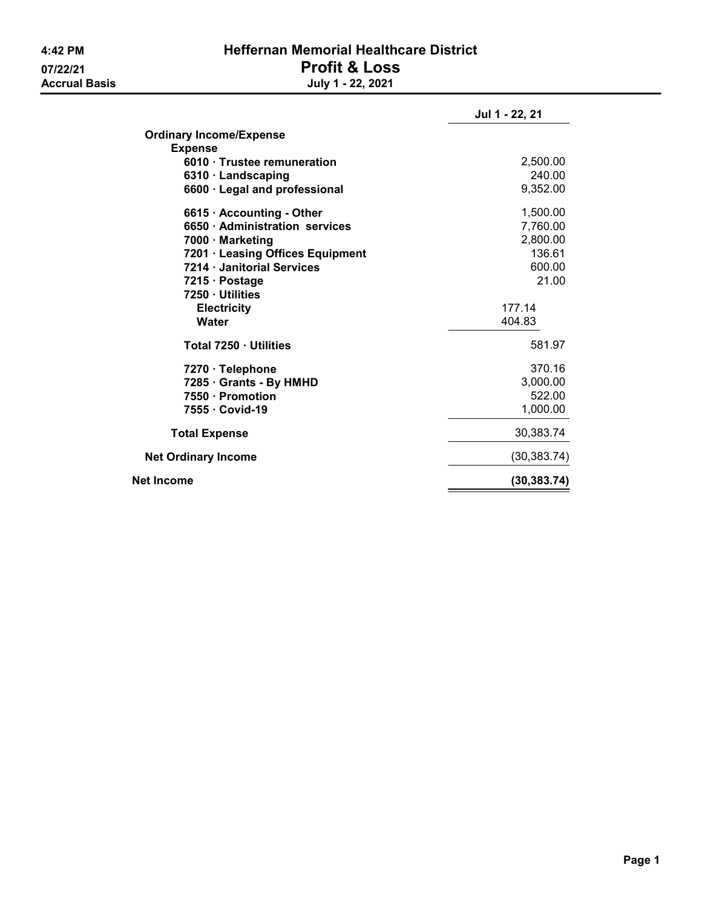# 4:42 PM Heffernan Memorial Healthcare District 07/22/21 **Profit & Loss**<br>Accrual Basis **Profit & Loss** July 1 - 22, 2021

|                                  | Jul 1 - 22, 21 |
|----------------------------------|----------------|
| <b>Ordinary Income/Expense</b>   |                |
| <b>Expense</b>                   |                |
| 6010 · Trustee remuneration      | 2,500.00       |
| 6310 · Landscaping               | 240.00         |
| 6600 · Legal and professional    | 9,352.00       |
| 6615 · Accounting - Other        | 1,500.00       |
| 6650 · Administration services   | 7,760.00       |
| 7000 · Marketing                 | 2,800.00       |
| 7201 · Leasing Offices Equipment | 136.61         |
| 7214 · Janitorial Services       | 600.00         |
| 7215 · Postage                   | 21.00          |
| 7250 · Utilities                 |                |
| <b>Electricity</b>               | 177.14         |
| Water                            | 404.83         |
| Total 7250 · Utilities           | 581.97         |
| 7270 · Telephone                 | 370.16         |
| 7285 · Grants - By HMHD          | 3,000.00       |
| 7550 · Promotion                 | 522.00         |
| 7555 · Covid-19                  | 1,000.00       |
| <b>Total Expense</b>             | 30,383.74      |
| <b>Net Ordinary Income</b>       | (30, 383.74)   |
| <b>Net Income</b>                | (30,383.74)    |